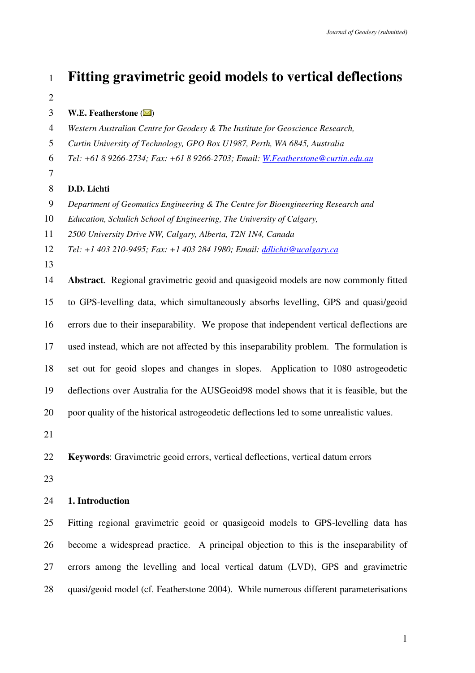**Fitting gravimetric geoid models to vertical deflections W.E. Featherstone** ( ) *Western Australian Centre for Geodesy & The Institute for Geoscience Research, Curtin University of Technology, GPO Box U1987, Perth, WA 6845, Australia Tel: +61 8 9266-2734; Fax: +61 8 9266-2703; Email: W.Featherstone@curtin.edu.au*  **D.D. Lichti**  *Department of Geomatics Engineering & The Centre for Bioengineering Research and Education, Schulich School of Engineering, The University of Calgary,* 

*2500 University Drive NW, Calgary, Alberta, T2N 1N4, Canada* 

*Tel: +1 403 210-9495; Fax: +1 403 284 1980; Email: ddlichti@ucalgary.ca*

**Abstract**. Regional gravimetric geoid and quasigeoid models are now commonly fitted 15 to GPS-levelling data, which simultaneously absorbs levelling, GPS and quasi/geoid 16 errors due to their inseparability. We propose that independent vertical deflections are 17 used instead, which are not affected by this inseparability problem. The formulation is 18 set out for geoid slopes and changes in slopes. Application to 1080 astrogeodetic 19 deflections over Australia for the AUSGeoid98 model shows that it is feasible, but the 20 poor quality of the historical astrogeodetic deflections led to some unrealistic values.

**Keywords**: Gravimetric geoid errors, vertical deflections, vertical datum errors

## **1. Introduction**

25 Fitting regional gravimetric geoid or quasigeoid models to GPS-levelling data has 26 become a widespread practice. A principal objection to this is the inseparability of 27 errors among the levelling and local vertical datum (LVD), GPS and gravimetric 28 quasi/geoid model (cf. Featherstone 2004). While numerous different parameterisations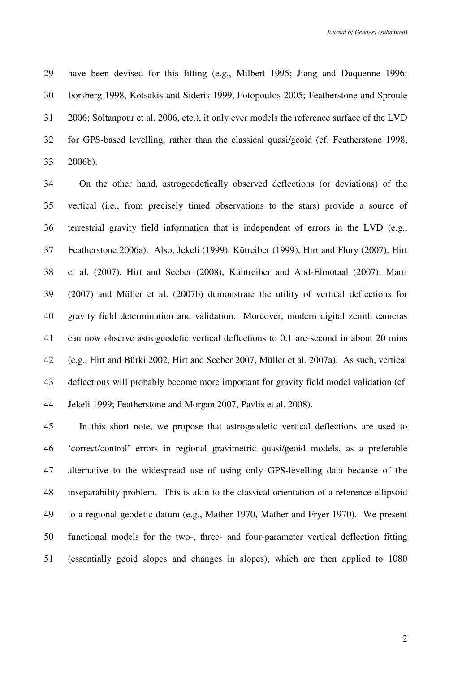29 have been devised for this fitting (e.g., Milbert 1995; Jiang and Duquenne 1996; 30 Forsberg 1998, Kotsakis and Sideris 1999, Fotopoulos 2005; Featherstone and Sproule 31 2006; Soltanpour et al. 2006, etc.), it only ever models the reference surface of the LVD 32 for GPS-based levelling, rather than the classical quasi/geoid (cf. Featherstone 1998, 33 2006b).

34 On the other hand, astrogeodetically observed deflections (or deviations) of the 35 vertical (i.e., from precisely timed observations to the stars) provide a source of 36 terrestrial gravity field information that is independent of errors in the LVD (e.g., 37 Featherstone 2006a). Also, Jekeli (1999), Kütreiber (1999), Hirt and Flury (2007), Hirt 38 et al. (2007), Hirt and Seeber (2008), Kühtreiber and Abd-Elmotaal (2007), Marti 39 (2007) and Müller et al. (2007b) demonstrate the utility of vertical deflections for 40 gravity field determination and validation. Moreover, modern digital zenith cameras 41 can now observe astrogeodetic vertical deflections to 0.1 arc-second in about 20 mins 42 (e.g., Hirt and Bürki 2002, Hirt and Seeber 2007, Müller et al. 2007a). As such, vertical 43 deflections will probably become more important for gravity field model validation (cf. 44 Jekeli 1999; Featherstone and Morgan 2007, Pavlis et al. 2008).

45 In this short note, we propose that astrogeodetic vertical deflections are used to 46 'correct/control' errors in regional gravimetric quasi/geoid models, as a preferable 47 alternative to the widespread use of using only GPS-levelling data because of the 48 inseparability problem. This is akin to the classical orientation of a reference ellipsoid 49 to a regional geodetic datum (e.g., Mather 1970, Mather and Fryer 1970). We present 50 functional models for the two-, three- and four-parameter vertical deflection fitting 51 (essentially geoid slopes and changes in slopes), which are then applied to 1080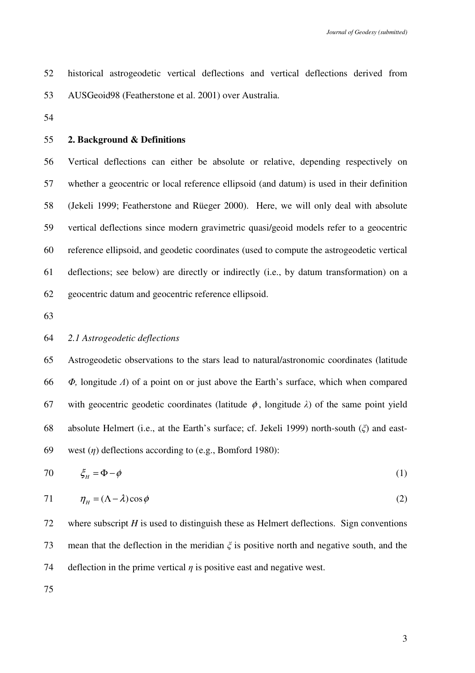|  | 52 historical astrogeodetic vertical deflections and vertical deflections derived from |  |  |  |  |
|--|----------------------------------------------------------------------------------------|--|--|--|--|
|  | 53 AUSGeoid98 (Featherstone et al. 2001) over Australia.                               |  |  |  |  |

# 55 **2. Background & Definitions**

56 Vertical deflections can either be absolute or relative, depending respectively on 57 whether a geocentric or local reference ellipsoid (and datum) is used in their definition 58 (Jekeli 1999; Featherstone and Rüeger 2000). Here, we will only deal with absolute 59 vertical deflections since modern gravimetric quasi/geoid models refer to a geocentric 60 reference ellipsoid, and geodetic coordinates (used to compute the astrogeodetic vertical 61 deflections; see below) are directly or indirectly (i.e., by datum transformation) on a 62 geocentric datum and geocentric reference ellipsoid.

63

## 64 *2.1 Astrogeodetic deflections*

65 Astrogeodetic observations to the stars lead to natural/astronomic coordinates (latitude 66 Φ*,* longitude Λ) of a point on or just above the Earth's surface, which when compared 67 with geocentric geodetic coordinates (latitude  $\phi$ , longitude  $\lambda$ ) of the same point yield 68 absolute Helmert (i.e., at the Earth's surface; cf. Jekeli 1999) north-south (ξ) and east-69 west  $(\eta)$  deflections according to (e.g., Bomford 1980):

*H* 70 ξ φ = Φ − (1)

$$
71 \qquad \eta_{H} = (\Lambda - \lambda)\cos\phi \tag{2}
$$

72 where subscript *H* is used to distinguish these as Helmert deflections. Sign conventions 73 mean that the deflection in the meridian  $\xi$  is positive north and negative south, and the 74 deflection in the prime vertical  $\eta$  is positive east and negative west.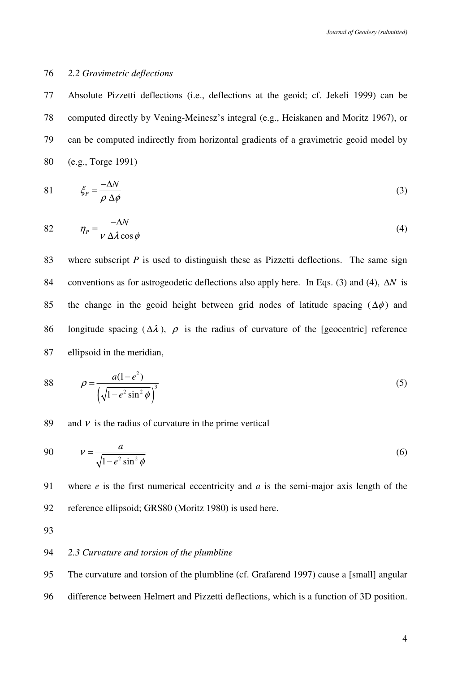### 76 *2.2 Gravimetric deflections*

77 Absolute Pizzetti deflections (i.e., deflections at the geoid; cf. Jekeli 1999) can be 78 computed directly by Vening-Meinesz's integral (e.g., Heiskanen and Moritz 1967), or 79 can be computed indirectly from horizontal gradients of a gravimetric geoid model by 80 (e.g., Torge 1991)

$$
81 \qquad \qquad \xi_p = \frac{-\Delta N}{\rho \Delta \phi} \tag{3}
$$

$$
82 \qquad \eta_P = \frac{-\Delta N}{V \Delta \lambda \cos \phi} \tag{4}
$$

83 where subscript *P* is used to distinguish these as Pizzetti deflections. The same sign 84 conventions as for astrogeodetic deflections also apply here. In Eqs. (3) and (4), ∆*N* is 85 the change in the geoid height between grid nodes of latitude spacing ( $\Delta\phi$ ) and 86 longitude spacing ( $\Delta \lambda$ ),  $\rho$  is the radius of curvature of the [geocentric] reference 87 ellipsoid in the meridian,

88 
$$
\rho = \frac{a(1-e^2)}{\left(\sqrt{1-e^2\sin^2\phi}\right)^3}
$$
 (5)

### 89 and  $\nu$  is the radius of curvature in the prime vertical

$$
y = \frac{a}{\sqrt{1 - e^2 \sin^2 \phi}}
$$
 (6)

91 where *e* is the first numerical eccentricity and *a* is the semi-major axis length of the 92 reference ellipsoid; GRS80 (Moritz 1980) is used here.

93

# 94 *2.3 Curvature and torsion of the plumbline*

95 The curvature and torsion of the plumbline (cf. Grafarend 1997) cause a [small] angular

96 difference between Helmert and Pizzetti deflections, which is a function of 3D position.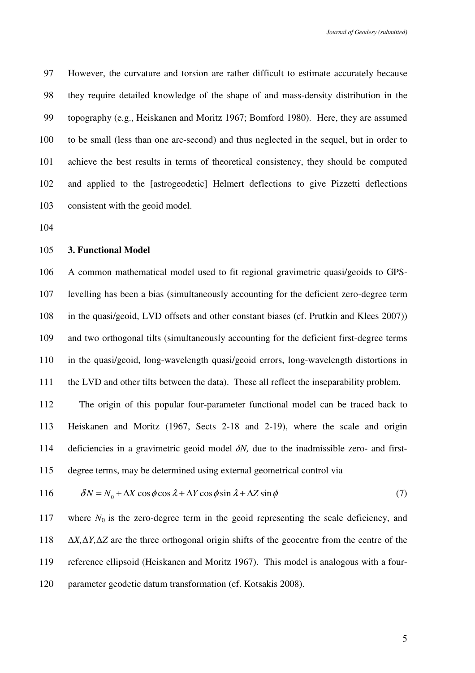97 However, the curvature and torsion are rather difficult to estimate accurately because 98 they require detailed knowledge of the shape of and mass-density distribution in the 99 topography (e.g., Heiskanen and Moritz 1967; Bomford 1980). Here, they are assumed 100 to be small (less than one arc-second) and thus neglected in the sequel, but in order to 101 achieve the best results in terms of theoretical consistency, they should be computed 102 and applied to the [astrogeodetic] Helmert deflections to give Pizzetti deflections 103 consistent with the geoid model.

104

#### 105 **3. Functional Model**

106 A common mathematical model used to fit regional gravimetric quasi/geoids to GPS-107 levelling has been a bias (simultaneously accounting for the deficient zero-degree term 108 in the quasi/geoid, LVD offsets and other constant biases (cf. Prutkin and Klees 2007)) 109 and two orthogonal tilts (simultaneously accounting for the deficient first-degree terms 110 in the quasi/geoid, long-wavelength quasi/geoid errors, long-wavelength distortions in 111 the LVD and other tilts between the data). These all reflect the inseparability problem.

112 The origin of this popular four-parameter functional model can be traced back to 113 Heiskanen and Moritz (1967, Sects 2-18 and 2-19), where the scale and origin 114 deficiencies in a gravimetric geoid model  $\delta N$ , due to the inadmissible zero- and first-115 degree terms, may be determined using external geometrical control via

116 
$$
\delta N = N_0 + \Delta X \cos \phi \cos \lambda + \Delta Y \cos \phi \sin \lambda + \Delta Z \sin \phi
$$
 (7)

117 where  $N_0$  is the zero-degree term in the geoid representing the scale deficiency, and 118 ∆*X,*∆*Y,*∆*Z* are the three orthogonal origin shifts of the geocentre from the centre of the 119 reference ellipsoid (Heiskanen and Moritz 1967). This model is analogous with a four-120 parameter geodetic datum transformation (cf. Kotsakis 2008).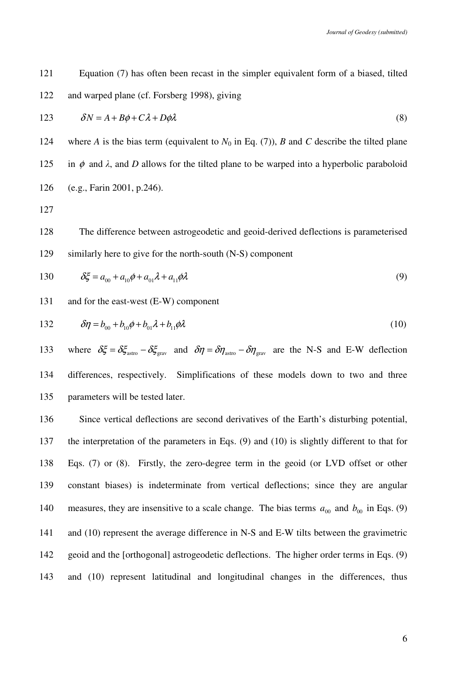121 Equation (7) has often been recast in the simpler equivalent form of a biased, tilted 122 and warped plane (cf. Forsberg 1998), giving

$$
123 \t\t \delta N = A + B\phi + C\lambda + D\phi\lambda \t\t (8)
$$

124 where *A* is the bias term (equivalent to  $N_0$  in Eq. (7)), *B* and *C* describe the tilted plane 125 in  $\phi$  and  $\lambda$ , and *D* allows for the tilted plane to be warped into a hyperbolic paraboloid 126 (e.g., Farin 2001, p.246).

127

128 The difference between astrogeodetic and geoid-derived deflections is parameterised 129 similarly here to give for the north-south (N-S) component

130 
$$
\delta \xi = a_{00} + a_{10} \phi + a_{01} \lambda + a_{11} \phi \lambda
$$
 (9)

# 131 and for the east-west (E-W) component

132 
$$
\delta \eta = b_{00} + b_{10} \phi + b_{01} \lambda + b_{11} \phi \lambda
$$
 (10)

133 where  $\delta \xi = \delta \xi_{\text{astro}} - \delta \xi_{\text{grav}}$  and  $\delta \eta = \delta \eta_{\text{astro}} - \delta \eta_{\text{grav}}$  are the N-S and E-W deflection 134 differences, respectively. Simplifications of these models down to two and three 135 parameters will be tested later.

136 Since vertical deflections are second derivatives of the Earth's disturbing potential, 137 the interpretation of the parameters in Eqs. (9) and (10) is slightly different to that for 138 Eqs. (7) or (8). Firstly, the zero-degree term in the geoid (or LVD offset or other 139 constant biases) is indeterminate from vertical deflections; since they are angular 140 measures, they are insensitive to a scale change. The bias terms  $a_{00}$  and  $b_{00}$  in Eqs. (9) 141 and (10) represent the average difference in N-S and E-W tilts between the gravimetric 142 geoid and the [orthogonal] astrogeodetic deflections. The higher order terms in Eqs. (9) 143 and (10) represent latitudinal and longitudinal changes in the differences, thus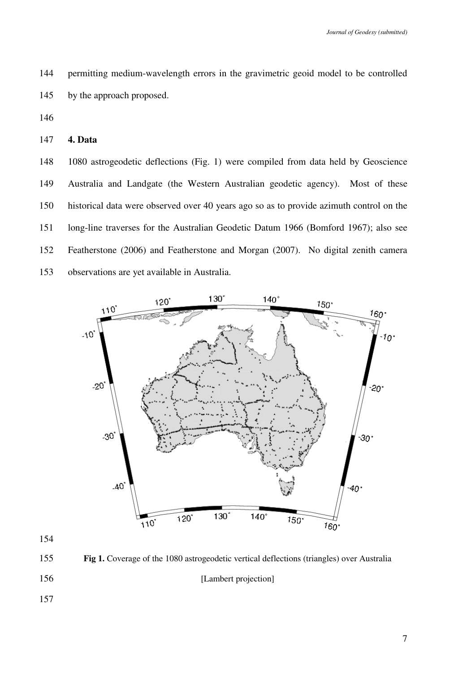144 permitting medium-wavelength errors in the gravimetric geoid model to be controlled 145 by the approach proposed.

146

147 **4. Data** 

148 1080 astrogeodetic deflections (Fig. 1) were compiled from data held by Geoscience 149 Australia and Landgate (the Western Australian geodetic agency). Most of these 150 historical data were observed over 40 years ago so as to provide azimuth control on the 151 long-line traverses for the Australian Geodetic Datum 1966 (Bomford 1967); also see 152 Featherstone (2006) and Featherstone and Morgan (2007). No digital zenith camera 153 observations are yet available in Australia.



154

155 **Fig 1.** Coverage of the 1080 astrogeodetic vertical deflections (triangles) over Australia

156 [Lambert projection]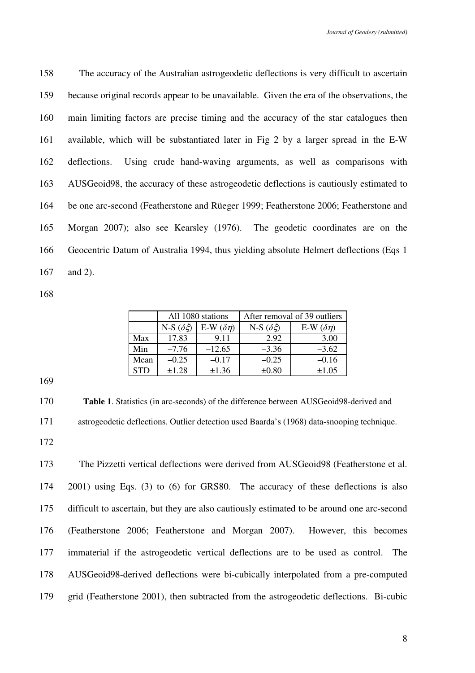158 The accuracy of the Australian astrogeodetic deflections is very difficult to ascertain 159 because original records appear to be unavailable. Given the era of the observations, the 160 main limiting factors are precise timing and the accuracy of the star catalogues then 161 available, which will be substantiated later in Fig 2 by a larger spread in the E-W 162 deflections. Using crude hand-waving arguments, as well as comparisons with 163 AUSGeoid98, the accuracy of these astrogeodetic deflections is cautiously estimated to 164 be one arc-second (Featherstone and Rüeger 1999; Featherstone 2006; Featherstone and 165 Morgan 2007); also see Kearsley (1976). The geodetic coordinates are on the 166 Geocentric Datum of Australia 1994, thus yielding absolute Helmert deflections (Eqs 1 167 and 2).

168

|            |                    | All 1080 stations   | After removal of 39 outliers |                     |  |  |
|------------|--------------------|---------------------|------------------------------|---------------------|--|--|
|            | N-S $(\delta \xi)$ | E-W $(\delta \eta)$ | N-S $(\delta \xi)$           | E-W $(\delta \eta)$ |  |  |
| Max        | 17.83              | 9.11                | 2.92                         | 3.00                |  |  |
| Min        | $-7.76$            | $-12.65$            | $-3.36$                      | $-3.62$             |  |  |
| Mean       | $-0.25$            | $-0.17$             | $-0.25$                      | $-0.16$             |  |  |
| <b>STD</b> | $\pm 1.28$         | ±1.36               | $\pm 0.80$                   | $\pm 1.05$          |  |  |

169

170 **Table 1**. Statistics (in arc-seconds) of the difference between AUSGeoid98-derived and 171 astrogeodetic deflections. Outlier detection used Baarda's (1968) data-snooping technique.

172

173 The Pizzetti vertical deflections were derived from AUSGeoid98 (Featherstone et al. 174 2001) using Eqs. (3) to (6) for GRS80. The accuracy of these deflections is also 175 difficult to ascertain, but they are also cautiously estimated to be around one arc-second 176 (Featherstone 2006; Featherstone and Morgan 2007). However, this becomes 177 immaterial if the astrogeodetic vertical deflections are to be used as control. The 178 AUSGeoid98-derived deflections were bi-cubically interpolated from a pre-computed 179 grid (Featherstone 2001), then subtracted from the astrogeodetic deflections. Bi-cubic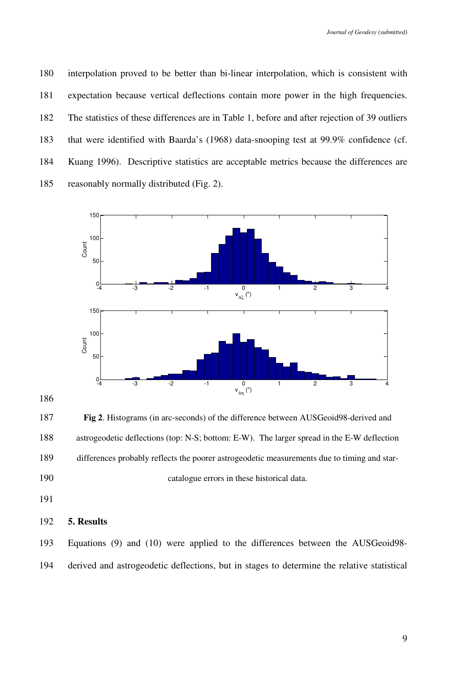180 interpolation proved to be better than bi-linear interpolation, which is consistent with 181 expectation because vertical deflections contain more power in the high frequencies. 182 The statistics of these differences are in Table 1, before and after rejection of 39 outliers 183 that were identified with Baarda's (1968) data-snooping test at 99.9% confidence (cf. 184 Kuang 1996). Descriptive statistics are acceptable metrics because the differences are 185 reasonably normally distributed (Fig. 2).



186

187 **Fig 2**. Histograms (in arc-seconds) of the difference between AUSGeoid98-derived and 188 astrogeodetic deflections (top: N-S; bottom: E-W). The larger spread in the E-W deflection 189 differences probably reflects the poorer astrogeodetic measurements due to timing and star-190 catalogue errors in these historical data.

191

192 **5. Results** 

193 Equations (9) and (10) were applied to the differences between the AUSGeoid98- 194 derived and astrogeodetic deflections, but in stages to determine the relative statistical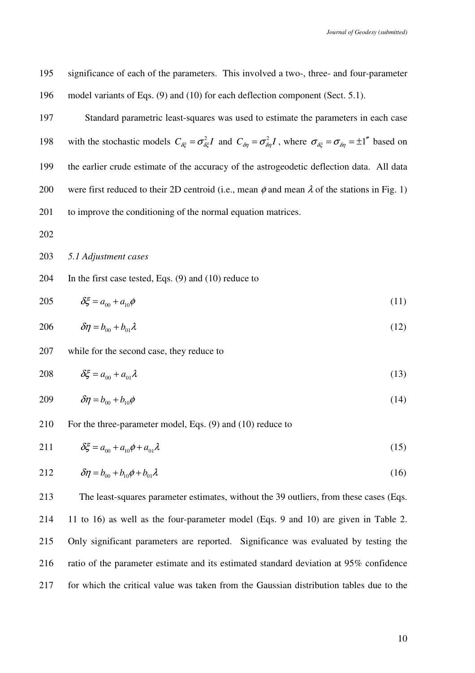195 significance of each of the parameters. This involved a two-, three- and four-parameter 196 model variants of Eqs. (9) and (10) for each deflection component (Sect. 5.1).

197 Standard parametric least-squares was used to estimate the parameters in each case 198 with the stochastic models  $C_{\delta\xi} = \sigma_{\delta\xi}^2 I$  and  $C_{\delta\eta} = \sigma_{\delta\eta}^2 I$ , where  $\sigma_{\delta\xi} = \sigma_{\delta\eta} = \pm 1$ <sup>\*</sup> based on 199 the earlier crude estimate of the accuracy of the astrogeodetic deflection data. All data 200 were first reduced to their 2D centroid (i.e., mean  $\phi$  and mean  $\lambda$  of the stations in Fig. 1) 201 to improve the conditioning of the normal equation matrices.

202

### 203 *5.1 Adjustment cases*

204 In the first case tested, Eqs. (9) and (10) reduce to

205 
$$
\delta \xi = a_{00} + a_{10} \phi
$$
 (11)

$$
206 \t\t \delta \eta = b_{00} + b_{01} \lambda \t\t(12)
$$

## 207 while for the second case, they reduce to

$$
208 \qquad \delta \xi = a_{00} + a_{01} \lambda \tag{13}
$$

$$
209 \qquad \delta \eta = b_{00} + b_{10} \phi \tag{14}
$$

210 For the three-parameter model, Eqs. (9) and (10) reduce to

211 
$$
\delta \xi = a_{00} + a_{10} \phi + a_{01} \lambda
$$
 (15)

212 
$$
\delta \eta = b_{00} + b_{10} \phi + b_{01} \lambda
$$
 (16)

213 The least-squares parameter estimates, without the 39 outliers, from these cases (Eqs. 214 11 to 16) as well as the four-parameter model (Eqs. 9 and 10) are given in Table 2. 215 Only significant parameters are reported. Significance was evaluated by testing the 216 ratio of the parameter estimate and its estimated standard deviation at 95% confidence 217 for which the critical value was taken from the Gaussian distribution tables due to the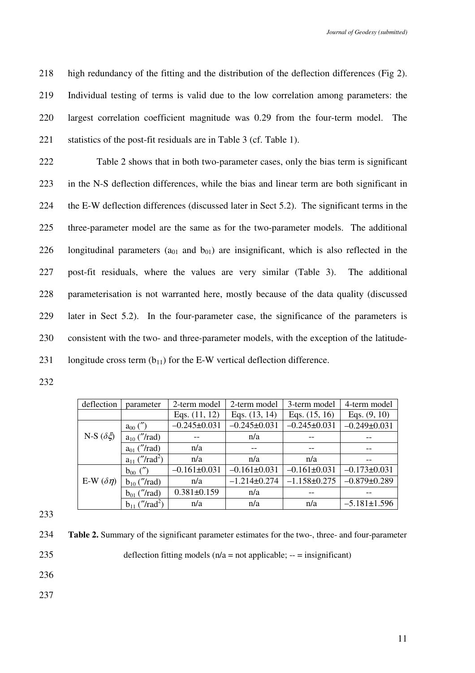218 high redundancy of the fitting and the distribution of the deflection differences (Fig 2). 219 Individual testing of terms is valid due to the low correlation among parameters: the 220 largest correlation coefficient magnitude was 0.29 from the four-term model. The 221 statistics of the post-fit residuals are in Table 3 (cf. Table 1).

222 Table 2 shows that in both two-parameter cases, only the bias term is significant 223 in the N-S deflection differences, while the bias and linear term are both significant in 224 the E-W deflection differences (discussed later in Sect 5.2). The significant terms in the 225 three-parameter model are the same as for the two-parameter models. The additional 226 longitudinal parameters ( $a_{01}$  and  $b_{01}$ ) are insignificant, which is also reflected in the 227 post-fit residuals, where the values are very similar (Table 3). The additional 228 parameterisation is not warranted here, mostly because of the data quality (discussed 229 later in Sect 5.2). In the four-parameter case, the significance of the parameters is 230 consistent with the two- and three-parameter models, with the exception of the latitude-231 longitude cross term  $(b_{11})$  for the E-W vertical deflection difference.

232

| deflection          | parameter                      | 2-term model      | 2-term model       | 3-term model       | 4-term model       |
|---------------------|--------------------------------|-------------------|--------------------|--------------------|--------------------|
|                     |                                | Eqs. $(11, 12)$   | Eqs. $(13, 14)$    | Eqs. (15, 16)      | Eqs. $(9, 10)$     |
|                     | $a_{00}$ (")                   | $-0.245\pm0.031$  | $-0.245 \pm 0.031$ | $-0.245\pm0.031$   | $-0.249 \pm 0.031$ |
| N-S $(\delta \xi)$  | $a_{10}$ ("/rad)               |                   | n/a                |                    |                    |
|                     | $a_{01}$ ("/rad)               | n/a               |                    |                    |                    |
|                     | $a_{11}$ ("/rad <sup>2</sup> ) | n/a               | n/a                | n/a                |                    |
|                     | $b_{00}$ (")                   | $-0.161\pm0.031$  | $-0.161\pm0.031$   | $-0.161\pm0.031$   | $-0.173 \pm 0.031$ |
| E-W $(\delta \eta)$ | $b_{10}$ ("/rad)               | n/a               | $-1.214\pm0.274$   | $-1.158 \pm 0.275$ | $-0.879 \pm 0.289$ |
|                     | $b_{01}$ ("/rad)               | $0.381 \pm 0.159$ | n/a                |                    |                    |
|                     | $b_{11}$ ("/rad <sup>2</sup> ) | n/a               | n/a                | n/a                | $-5.181 \pm 1.596$ |

233

234 **Table 2.** Summary of the significant parameter estimates for the two-, three- and four-parameter

235 deflection fitting models  $(n/a = not \text{ applicable}; -\text{=} \text{insignificant})$ 

236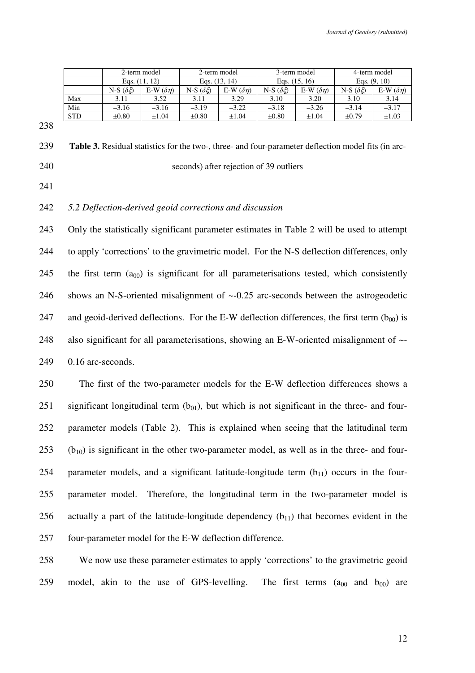|            |                    | 2-term model        | 2-term model       |                  |                    | 3-term model        | 4-term model       |                     |
|------------|--------------------|---------------------|--------------------|------------------|--------------------|---------------------|--------------------|---------------------|
|            | Eqs. $(11, 12)$    |                     | Eqs. $(13, 14)$    |                  | Eqs. $(15, 16)$    |                     | Eqs. $(9, 10)$     |                     |
|            | N-S $(\delta \xi)$ | E-W $(\delta \eta)$ | N-S $(\delta \xi)$ | E-W $(\delta n)$ | N-S $(\delta \xi)$ | E-W $(\delta \eta)$ | N-S $(\delta \xi)$ | E-W $(\delta \eta)$ |
| Max        | 3.11               | 3.52                | 3.11               | 3.29             | 3.10               | 3.20                | 3.10               | 3.14                |
| Min        | $-3.16$            | $-3.16$             | $-3.19$            | $-3.22$          | $-3.18$            | $-3.26$             | $-3.14$            | $-3.17$             |
| <b>STD</b> | $\pm 0.80$         | $\pm 1.04$          | $\pm 0.80$         | $\pm 1.04$       | $\pm 0.80$         | ±1.04               | $\pm 0.79$         | $\pm 1.03$          |

239 **Table 3.** Residual statistics for the two-, three- and four-parameter deflection model fits (in arc-240 seconds) after rejection of 39 outliers

241

# 242 *5.2 Deflection-derived geoid corrections and discussion*

243 Only the statistically significant parameter estimates in Table 2 will be used to attempt 244 to apply 'corrections' to the gravimetric model. For the N-S deflection differences, only 245 the first term  $(a_{00})$  is significant for all parameterisations tested, which consistently 246 shows an N-S-oriented misalignment of ~-0.25 arc-seconds between the astrogeodetic 247 and geoid-derived deflections. For the E-W deflection differences, the first term  $(b_{00})$  is 248 also significant for all parameterisations, showing an E-W-oriented misalignment of ~- 249 0.16 arc-seconds.

250 The first of the two-parameter models for the E-W deflection differences shows a 251 significant longitudinal term  $(b_{01})$ , but which is not significant in the three- and four-252 parameter models (Table 2). This is explained when seeing that the latitudinal term 253 ( $b_{10}$ ) is significant in the other two-parameter model, as well as in the three- and four-254 parameter models, and a significant latitude-longitude term  $(b_{11})$  occurs in the four-255 parameter model. Therefore, the longitudinal term in the two-parameter model is 256 actually a part of the latitude-longitude dependency  $(b_{11})$  that becomes evident in the 257 four-parameter model for the E-W deflection difference.

258 We now use these parameter estimates to apply 'corrections' to the gravimetric geoid 259 model, akin to the use of GPS-levelling. The first terms  $(a_{00}$  and  $b_{00}$  are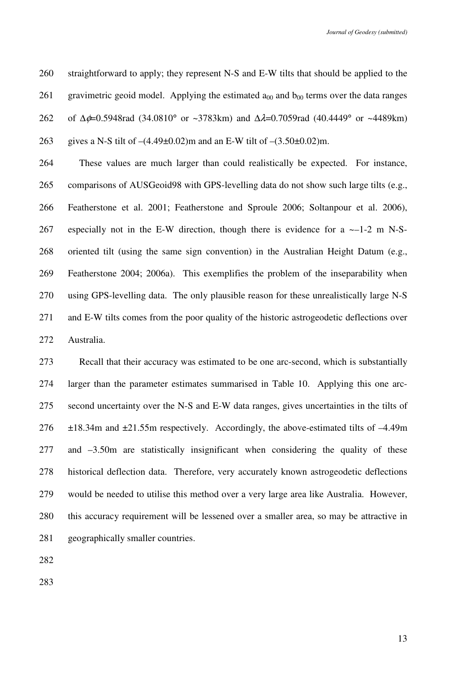260 straightforward to apply; they represent N-S and E-W tilts that should be applied to the 261 gravimetric geoid model. Applying the estimated  $a_{00}$  and  $b_{00}$  terms over the data ranges 262 of ∆φ=0.5948rad (34.0810° or ~3783km) and ∆λ=0.7059rad (40.4449° or ~4489km)

263 gives a N-S tilt of  $-(4.49\pm0.02)$  m and an E-W tilt of  $-(3.50\pm0.02)$  m.

264 These values are much larger than could realistically be expected. For instance, 265 comparisons of AUSGeoid98 with GPS-levelling data do not show such large tilts (e.g., 266 Featherstone et al. 2001; Featherstone and Sproule 2006; Soltanpour et al. 2006), 267 especially not in the E-W direction, though there is evidence for a ~–1-2 m N-S-268 oriented tilt (using the same sign convention) in the Australian Height Datum (e.g., 269 Featherstone 2004; 2006a). This exemplifies the problem of the inseparability when 270 using GPS-levelling data. The only plausible reason for these unrealistically large N-S 271 and E-W tilts comes from the poor quality of the historic astrogeodetic deflections over 272 Australia.

273 Recall that their accuracy was estimated to be one arc-second, which is substantially 274 larger than the parameter estimates summarised in Table 10. Applying this one arc-275 second uncertainty over the N-S and E-W data ranges, gives uncertainties in the tilts of 276 ±18.34m and ±21.55m respectively. Accordingly, the above-estimated tilts of –4.49m 277 and –3.50m are statistically insignificant when considering the quality of these 278 historical deflection data. Therefore, very accurately known astrogeodetic deflections 279 would be needed to utilise this method over a very large area like Australia. However, 280 this accuracy requirement will be lessened over a smaller area, so may be attractive in 281 geographically smaller countries.

282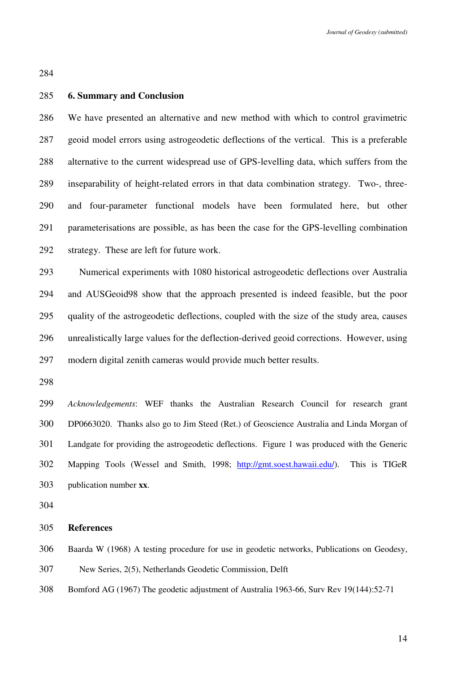## 285 **6. Summary and Conclusion**

286 We have presented an alternative and new method with which to control gravimetric 287 geoid model errors using astrogeodetic deflections of the vertical. This is a preferable 288 alternative to the current widespread use of GPS-levelling data, which suffers from the 289 inseparability of height-related errors in that data combination strategy. Two-, three-290 and four-parameter functional models have been formulated here, but other 291 parameterisations are possible, as has been the case for the GPS-levelling combination 292 strategy. These are left for future work.

293 Numerical experiments with 1080 historical astrogeodetic deflections over Australia 294 and AUSGeoid98 show that the approach presented is indeed feasible, but the poor 295 quality of the astrogeodetic deflections, coupled with the size of the study area, causes 296 unrealistically large values for the deflection-derived geoid corrections. However, using 297 modern digital zenith cameras would provide much better results.

298

*Acknowledgements*: WEF thanks the Australian Research Council for research grant DP0663020. Thanks also go to Jim Steed (Ret.) of Geoscience Australia and Linda Morgan of Landgate for providing the astrogeodetic deflections. Figure 1 was produced with the Generic Mapping Tools (Wessel and Smith, 1998; http://gmt.soest.hawaii.edu/). This is TIGeR publication number **xx**.

304

### 305 **References**

306 Baarda W (1968) A testing procedure for use in geodetic networks, Publications on Geodesy,

307 New Series, 2(5), Netherlands Geodetic Commission, Delft

308 Bomford AG (1967) The geodetic adjustment of Australia 1963-66, Surv Rev 19(144):52-71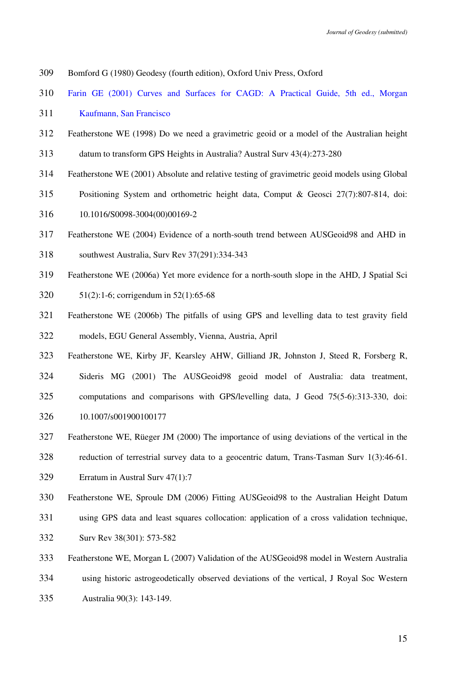- Bomford G (1980) Geodesy (fourth edition), Oxford Univ Press, Oxford
- Farin GE (2001) Curves and Surfaces for CAGD: A Practical Guide, 5th ed., Morgan
- Kaufmann, San Francisco
- Featherstone WE (1998) Do we need a gravimetric geoid or a model of the Australian height
- datum to transform GPS Heights in Australia? Austral Surv 43(4):273-280
- Featherstone WE (2001) Absolute and relative testing of gravimetric geoid models using Global
- Positioning System and orthometric height data, Comput & Geosci 27(7):807-814, doi:
- 10.1016/S0098-3004(00)00169-2
- Featherstone WE (2004) Evidence of a north-south trend between AUSGeoid98 and AHD in
- southwest Australia, Surv Rev 37(291):334-343
- Featherstone WE (2006a) Yet more evidence for a north-south slope in the AHD, J Spatial Sci
- 51(2):1-6; corrigendum in 52(1):65-68
- Featherstone WE (2006b) The pitfalls of using GPS and levelling data to test gravity field models, EGU General Assembly, Vienna, Austria, April
- Featherstone WE, Kirby JF, Kearsley AHW, Gilliand JR, Johnston J, Steed R, Forsberg R, Sideris MG (2001) The AUSGeoid98 geoid model of Australia: data treatment, computations and comparisons with GPS/levelling data, J Geod 75(5-6):313-330, doi: 10.1007/s001900100177
- Featherstone WE, Rüeger JM (2000) The importance of using deviations of the vertical in the
- reduction of terrestrial survey data to a geocentric datum, Trans-Tasman Surv 1(3):46-61.
- Erratum in Austral Surv 47(1):7
- Featherstone WE, Sproule DM (2006) Fitting AUSGeoid98 to the Australian Height Datum
- using GPS data and least squares collocation: application of a cross validation technique, Surv Rev 38(301): 573-582
- Featherstone WE, Morgan L (2007) Validation of the AUSGeoid98 model in Western Australia using historic astrogeodetically observed deviations of the vertical, J Royal Soc Western Australia 90(3): 143-149.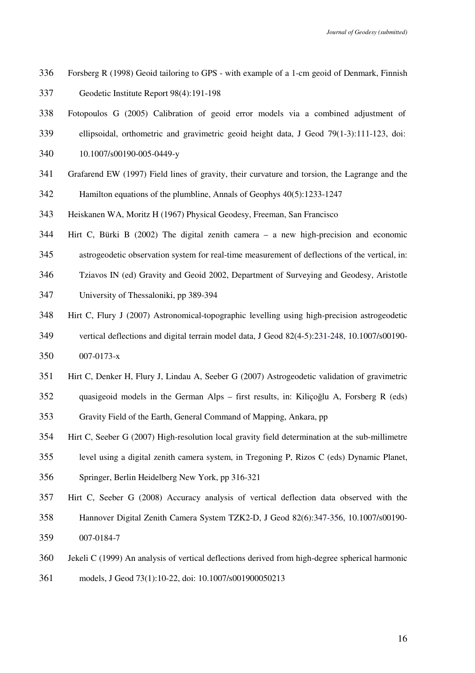- Forsberg R (1998) Geoid tailoring to GPS with example of a 1-cm geoid of Denmark, Finnish Geodetic Institute Report 98(4):191-198
- Fotopoulos G (2005) Calibration of geoid error models via a combined adjustment of
- ellipsoidal, orthometric and gravimetric geoid height data, J Geod 79(1-3):111-123, doi:
- 10.1007/s00190-005-0449-y
- Grafarend EW (1997) Field lines of gravity, their curvature and torsion, the Lagrange and the
- Hamilton equations of the plumbline, Annals of Geophys 40(5):1233-1247
- Heiskanen WA, Moritz H (1967) Physical Geodesy, Freeman, San Francisco
- Hirt C, Bürki B (2002) The digital zenith camera a new high-precision and economic
- astrogeodetic observation system for real-time measurement of deflections of the vertical, in:
- Tziavos IN (ed) Gravity and Geoid 2002, Department of Surveying and Geodesy, Aristotle
- University of Thessaloniki, pp 389-394
- Hirt C, Flury J (2007) Astronomical-topographic levelling using high-precision astrogeodetic
- vertical deflections and digital terrain model data, J Geod 82(4-5):231-248, 10.1007/s00190- 007-0173-x
- Hirt C, Denker H, Flury J, Lindau A, Seeber G (2007) Astrogeodetic validation of gravimetric
- quasigeoid models in the German Alps first results, in: Kiliçoğlu A, Forsberg R (eds)

Gravity Field of the Earth, General Command of Mapping, Ankara, pp

- Hirt C, Seeber G (2007) High-resolution local gravity field determination at the sub-millimetre
- level using a digital zenith camera system, in Tregoning P, Rizos C (eds) Dynamic Planet,
- Springer, Berlin Heidelberg New York, pp 316-321
- Hirt C, Seeber G (2008) Accuracy analysis of vertical deflection data observed with the
- Hannover Digital Zenith Camera System TZK2-D, J Geod 82(6):347-356, 10.1007/s00190- 007-0184-7
- Jekeli C (1999) An analysis of vertical deflections derived from high-degree spherical harmonic
- models, J Geod 73(1):10-22, doi: 10.1007/s001900050213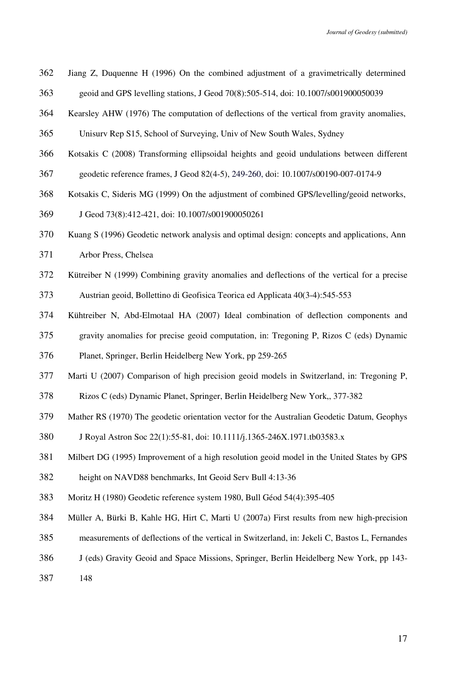- Jiang Z, Duquenne H (1996) On the combined adjustment of a gravimetrically determined geoid and GPS levelling stations, J Geod 70(8):505-514, doi: 10.1007/s001900050039
- Kearsley AHW (1976) The computation of deflections of the vertical from gravity anomalies,
- Unisurv Rep S15, School of Surveying, Univ of New South Wales, Sydney
- Kotsakis C (2008) Transforming ellipsoidal heights and geoid undulations between different
- geodetic reference frames, J Geod 82(4-5), 249-260, doi: 10.1007/s00190-007-0174-9
- Kotsakis C, Sideris MG (1999) On the adjustment of combined GPS/levelling/geoid networks,
- J Geod 73(8):412-421, doi: 10.1007/s001900050261
- Kuang S (1996) Geodetic network analysis and optimal design: concepts and applications, Ann
- Arbor Press, Chelsea
- Kütreiber N (1999) Combining gravity anomalies and deflections of the vertical for a precise
- Austrian geoid, Bollettino di Geofisica Teorica ed Applicata 40(3-4):545-553
- Kühtreiber N, Abd-Elmotaal HA (2007) Ideal combination of deflection components and
- gravity anomalies for precise geoid computation, in: Tregoning P, Rizos C (eds) Dynamic
- Planet, Springer, Berlin Heidelberg New York, pp 259-265
- Marti U (2007) Comparison of high precision geoid models in Switzerland, in: Tregoning P,
- Rizos C (eds) Dynamic Planet, Springer, Berlin Heidelberg New York,, 377-382
- Mather RS (1970) The geodetic orientation vector for the Australian Geodetic Datum, Geophys
- J Royal Astron Soc 22(1):55-81, doi: 10.1111/j.1365-246X.1971.tb03583.x
- Milbert DG (1995) Improvement of a high resolution geoid model in the United States by GPS
- height on NAVD88 benchmarks, Int Geoid Serv Bull 4:13-36
- Moritz H (1980) Geodetic reference system 1980, Bull Géod 54(4):395-405
- Müller A, Bürki B, Kahle HG, Hirt C, Marti U (2007a) First results from new high-precision
- measurements of deflections of the vertical in Switzerland, in: Jekeli C, Bastos L, Fernandes
- J (eds) Gravity Geoid and Space Missions, Springer, Berlin Heidelberg New York, pp 143-
- 148